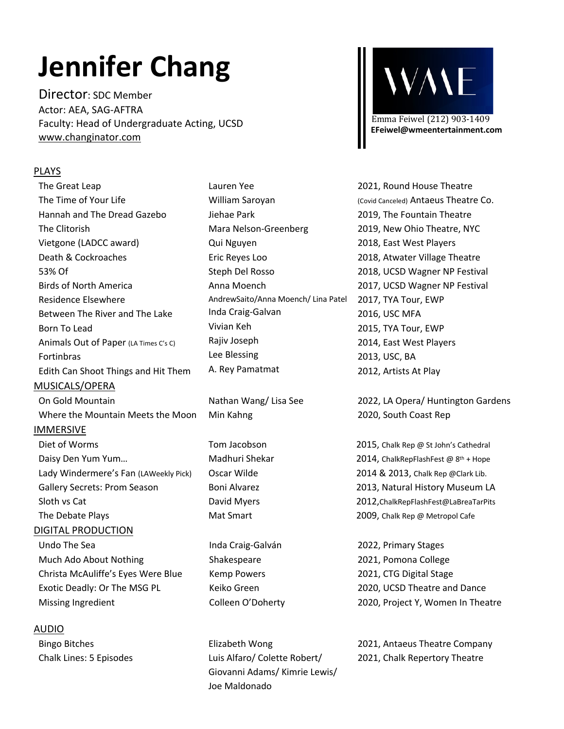# **Jennifer Chang**

Director: SDC Member Actor: AEA, SAG-AFTRA Faculty: Head of Undergraduate Acting, UCSD www.changinator.com

## PLAYS

The Great Leap The Time of Your Life Hannah and The Dread Gazebo The Clitorish Vietgone (LADCC award) Death & Cockroaches 53% Of Birds of North America Residence Elsewhere Between The River and The Lake Born To Lead Animals Out of Paper (LA Times C's C) Fortinbras Edith Can Shoot Things and Hit Them MUSICALS/OPERA On Gold Mountain Where the Mountain Meets the Moon IMMERSIVE Diet of Worms Daisy Den Yum Yum… Lady Windermere's Fan (LAWeekly Pick) Gallery Secrets: Prom Season Sloth vs Cat The Debate Plays DIGITAL PRODUCTION Undo The Sea Much Ado About Nothing Christa McAuliffe's Eyes Were Blue Exotic Deadly: Or The MSG PL Missing Ingredient

## AUDIO

Bingo Bitches Chalk Lines: 5 Episodes

Lauren Yee William Saroyan Jiehae Park Mara Nelson-Greenberg Qui Nguyen Eric Reyes Loo Steph Del Rosso Anna Moench AndrewSaito/Anna Moench/ Lina Patel Inda Craig-Galvan Vivian Keh Rajiv Joseph Lee Blessing A. Rey Pamatmat

Nathan Wang/ Lisa See Min Kahng

Tom Jacobson Madhuri Shekar Oscar Wilde Boni Alvarez David Myers Mat Smart

Inda Craig-Galván Shakespeare Kemp Powers Keiko Green Colleen O'Doherty

Elizabeth Wong Luis Alfaro/ Colette Robert/ Giovanni Adams/ Kimrie Lewis/ Joe Maldonado



2021, Round House Theatre (Covid Canceled) Antaeus Theatre Co. 2019, The Fountain Theatre 2019, New Ohio Theatre, NYC 2018, East West Players 2018, Atwater Village Theatre 2018, UCSD Wagner NP Festival 2017, UCSD Wagner NP Festival 2017, TYA Tour, EWP 2016, USC MFA 2015, TYA Tour, EWP 2014, East West Players 2013, USC, BA 2012, Artists At Play

2022, LA Opera/ Huntington Gardens 2020, South Coast Rep

2015, Chalk Rep @ St John's Cathedral 2014, ChalkRepFlashFest  $\omega$  8<sup>th</sup> + Hope 2014 & 2013, Chalk Rep @Clark Lib. 2013, Natural History Museum LA 2012,ChalkRepFlashFest@LaBreaTarPits 2009, Chalk Rep @ Metropol Cafe

2022, Primary Stages 2021, Pomona College 2021, CTG Digital Stage 2020, UCSD Theatre and Dance 2020, Project Y, Women In Theatre

2021, Antaeus Theatre Company 2021, Chalk Repertory Theatre